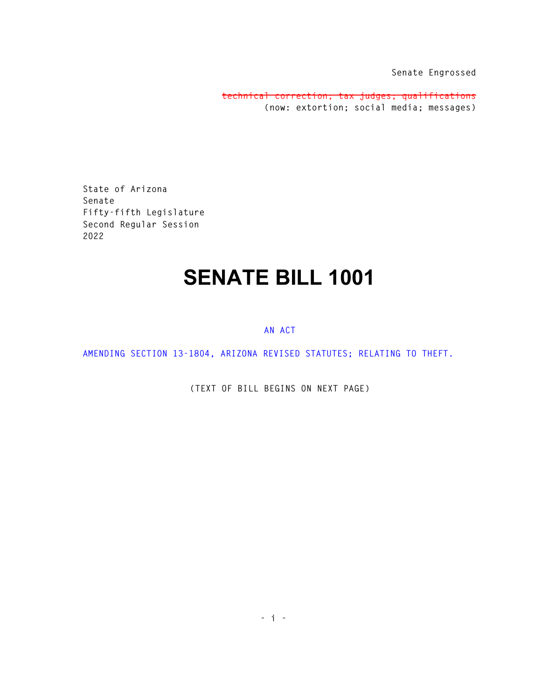**Senate Engrossed** 

**technical correction; tax judges; qualifications (now: extortion; social media; messages)**

**State of Arizona Senate Fifty-fifth Legislature Second Regular Session 2022** 

## **SENATE BILL 1001**

## **AN ACT**

**AMENDING SECTION 13-1804, ARIZONA REVISED STATUTES; RELATING TO THEFT.** 

**(TEXT OF BILL BEGINS ON NEXT PAGE)**